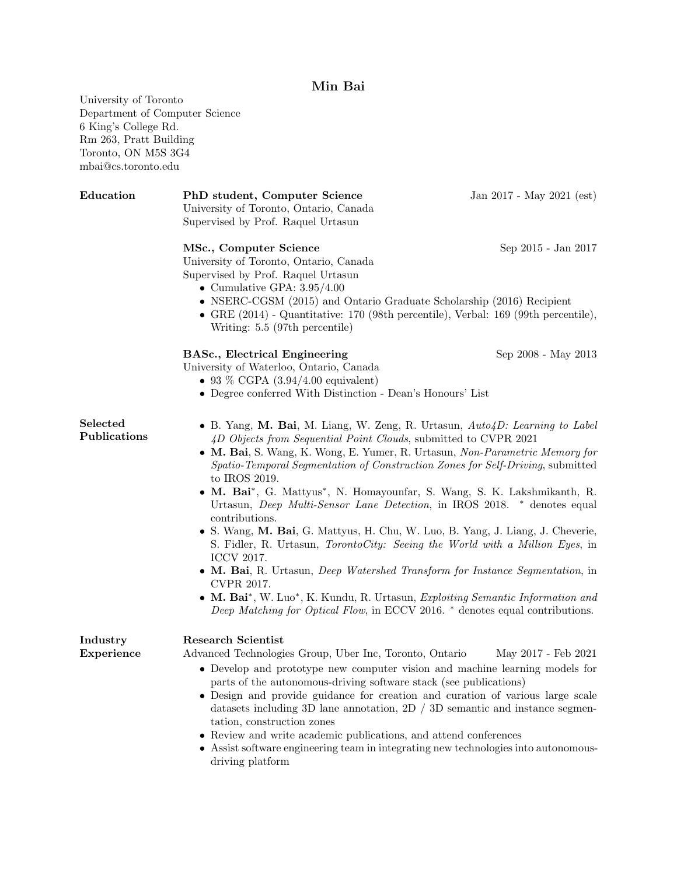# Min Bai

University of Toronto

Department of Computer Science 6 King's College Rd. Rm 263, Pratt Building Toronto, ON M5S 3G4 mbai@cs.toronto.edu Education PhD student, Computer Science Jan 2017 - May 2021 (est) University of Toronto, Ontario, Canada Supervised by Prof. Raquel Urtasun MSc., Computer Science Sep 2015 - Jan 2017 University of Toronto, Ontario, Canada Supervised by Prof. Raquel Urtasun • Cumulative GPA:  $3.95/4.00$ • NSERC-CGSM (2015) and Ontario Graduate Scholarship (2016) Recipient • GRE (2014) - Quantitative: 170 (98th percentile), Verbal: 169 (99th percentile), Writing: 5.5 (97th percentile) **BASc., Electrical Engineering Sep 2008 - May 2013** University of Waterloo, Ontario, Canada • 93 % CGPA  $(3.94/4.00$  equivalent) • Degree conferred With Distinction - Dean's Honours' List Selected Publications • B. Yang, M. Bai, M. Liang, W. Zeng, R. Urtasun, Auto4D: Learning to Label 4D Objects from Sequential Point Clouds, submitted to CVPR 2021 • M. Bai, S. Wang, K. Wong, E. Yumer, R. Urtasun, Non-Parametric Memory for Spatio-Temporal Segmentation of Construction Zones for Self-Driving, submitted to IROS 2019. • M. Bai<sup>∗</sup> , G. Mattyus<sup>∗</sup> , N. Homayounfar, S. Wang, S. K. Lakshmikanth, R. Urtasun, Deep Multi-Sensor Lane Detection, in IROS 2018. <sup>∗</sup> denotes equal contributions. • S. Wang, M. Bai, G. Mattyus, H. Chu, W. Luo, B. Yang, J. Liang, J. Cheverie, S. Fidler, R. Urtasun, *TorontoCity: Seeing the World with a Million Eyes*, in ICCV 2017. • M. Bai, R. Urtasun, Deep Watershed Transform for Instance Segmentation, in CVPR 2017. • M. Bai<sup>∗</sup> , W. Luo<sup>∗</sup> , K. Kundu, R. Urtasun, Exploiting Semantic Information and Deep Matching for Optical Flow, in ECCV 2016. <sup>∗</sup> denotes equal contributions. Industry Experience Research Scientist Advanced Technologies Group, Uber Inc, Toronto, Ontario May 2017 - Feb 2021 • Develop and prototype new computer vision and machine learning models for parts of the autonomous-driving software stack (see publications) • Design and provide guidance for creation and curation of various large scale datasets including 3D lane annotation, 2D / 3D semantic and instance segmentation, construction zones • Review and write academic publications, and attend conferences • Assist software engineering team in integrating new technologies into autonomousdriving platform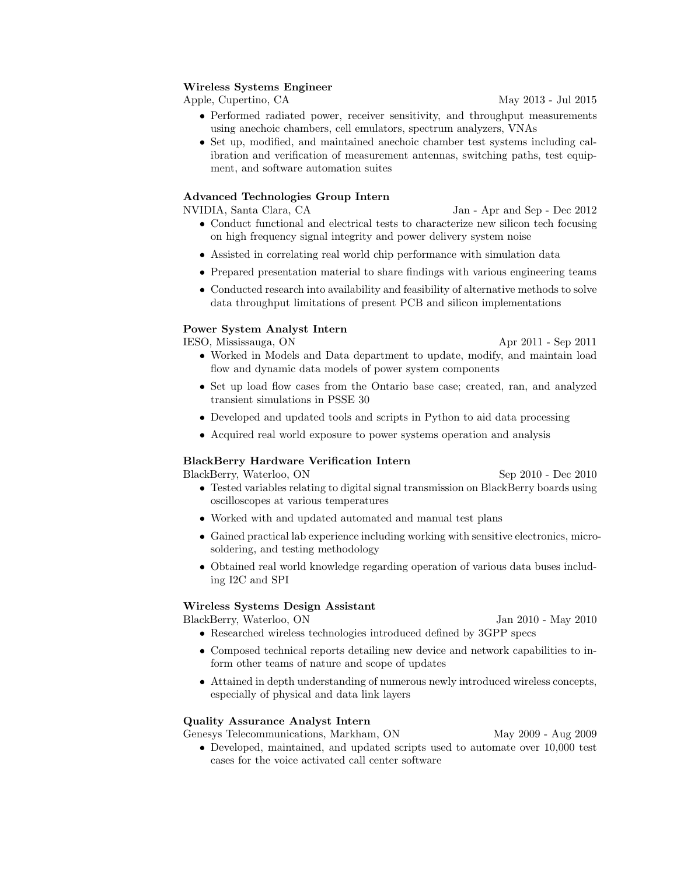#### Wireless Systems Engineer

Apple, Cupertino, CA May 2013 - Jul 2015

- Performed radiated power, receiver sensitivity, and throughput measurements using anechoic chambers, cell emulators, spectrum analyzers, VNAs
- Set up, modified, and maintained anechoic chamber test systems including calibration and verification of measurement antennas, switching paths, test equipment, and software automation suites

#### Advanced Technologies Group Intern

NVIDIA, Santa Clara, CA Jan - Apr and Sep - Dec 2012

- Conduct functional and electrical tests to characterize new silicon tech focusing on high frequency signal integrity and power delivery system noise
- Assisted in correlating real world chip performance with simulation data
- Prepared presentation material to share findings with various engineering teams
- Conducted research into availability and feasibility of alternative methods to solve data throughput limitations of present PCB and silicon implementations

## Power System Analyst Intern

IESO, Mississauga, ON Apr 2011 - Sep 2011

- Worked in Models and Data department to update, modify, and maintain load flow and dynamic data models of power system components
- Set up load flow cases from the Ontario base case; created, ran, and analyzed transient simulations in PSSE 30
- Developed and updated tools and scripts in Python to aid data processing
- Acquired real world exposure to power systems operation and analysis

## BlackBerry Hardware Verification Intern

BlackBerry, Waterloo, ON Sep 2010 - Dec 2010

- Tested variables relating to digital signal transmission on BlackBerry boards using oscilloscopes at various temperatures
- Worked with and updated automated and manual test plans
- Gained practical lab experience including working with sensitive electronics, microsoldering, and testing methodology
- Obtained real world knowledge regarding operation of various data buses including I2C and SPI

#### Wireless Systems Design Assistant

BlackBerry, Waterloo, ON Jan 2010 - May 2010

- Researched wireless technologies introduced defined by 3GPP specs
- Composed technical reports detailing new device and network capabilities to inform other teams of nature and scope of updates
- Attained in depth understanding of numerous newly introduced wireless concepts, especially of physical and data link layers

## Quality Assurance Analyst Intern

Genesys Telecommunications, Markham, ON May 2009 - Aug 2009

• Developed, maintained, and updated scripts used to automate over 10,000 test cases for the voice activated call center software